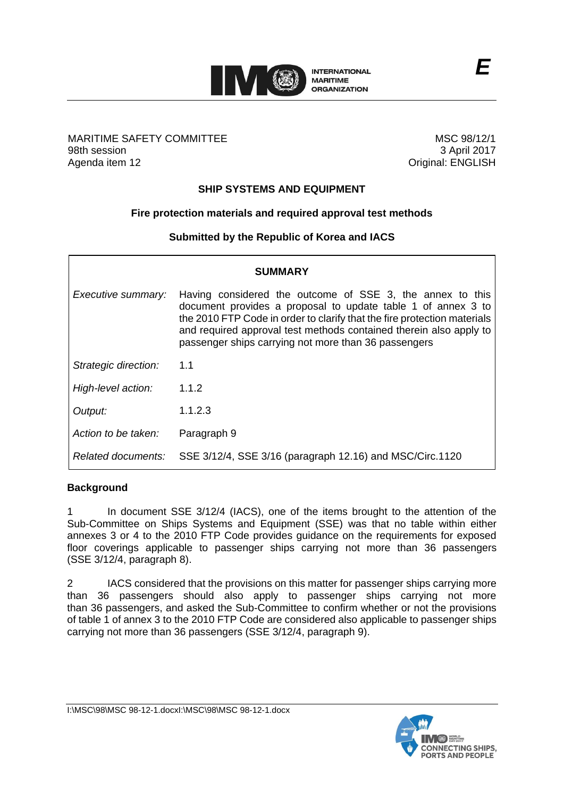

# MARITIME SAFETY COMMITTEE 98th session Agenda item 12

MSC 98/12/1 3 April 2017 Original: ENGLISH

# **SHIP SYSTEMS AND EQUIPMENT**

## **Fire protection materials and required approval test methods**

## **Submitted by the Republic of Korea and IACS**

| SUMMARY              |                                                                                                                                                                                                                                                                                                                                     |  |
|----------------------|-------------------------------------------------------------------------------------------------------------------------------------------------------------------------------------------------------------------------------------------------------------------------------------------------------------------------------------|--|
| Executive summary:   | Having considered the outcome of SSE 3, the annex to this<br>document provides a proposal to update table 1 of annex 3 to<br>the 2010 FTP Code in order to clarify that the fire protection materials<br>and required approval test methods contained therein also apply to<br>passenger ships carrying not more than 36 passengers |  |
| Strategic direction: | 1.1                                                                                                                                                                                                                                                                                                                                 |  |
| High-level action:   | 1.1.2                                                                                                                                                                                                                                                                                                                               |  |
| Output:              | 1.1.2.3                                                                                                                                                                                                                                                                                                                             |  |
| Action to be taken:  | Paragraph 9                                                                                                                                                                                                                                                                                                                         |  |
| Related documents:   | SSE 3/12/4, SSE 3/16 (paragraph 12.16) and MSC/Circ.1120                                                                                                                                                                                                                                                                            |  |

## **Background**

1 In document SSE 3/12/4 (IACS), one of the items brought to the attention of the Sub-Committee on Ships Systems and Equipment (SSE) was that no table within either annexes 3 or 4 to the 2010 FTP Code provides guidance on the requirements for exposed floor coverings applicable to passenger ships carrying not more than 36 passengers (SSE 3/12/4, paragraph 8).

2 IACS considered that the provisions on this matter for passenger ships carrying more than 36 passengers should also apply to passenger ships carrying not more than 36 passengers, and asked the Sub-Committee to confirm whether or not the provisions of table 1 of annex 3 to the 2010 FTP Code are considered also applicable to passenger ships carrying not more than 36 passengers (SSE 3/12/4, paragraph 9).

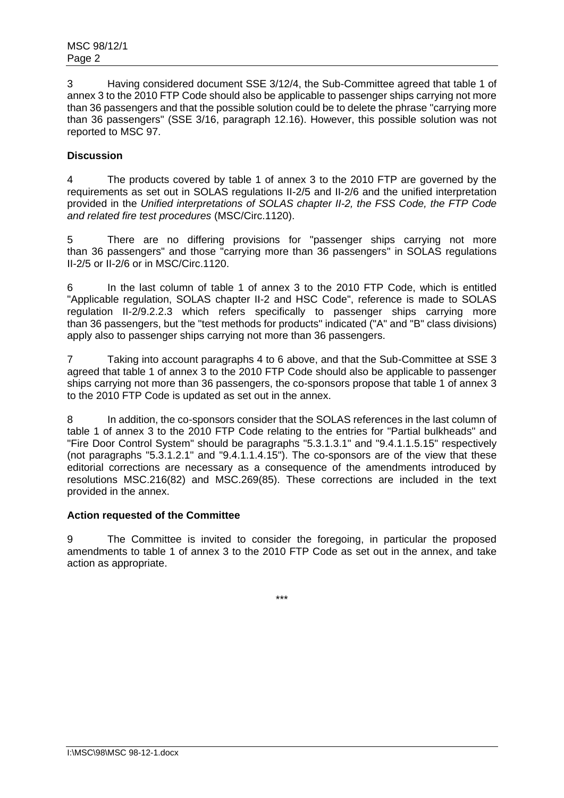3 Having considered document SSE 3/12/4, the Sub-Committee agreed that table 1 of annex 3 to the 2010 FTP Code should also be applicable to passenger ships carrying not more than 36 passengers and that the possible solution could be to delete the phrase "carrying more than 36 passengers" (SSE 3/16, paragraph 12.16). However, this possible solution was not reported to MSC 97.

# **Discussion**

4 The products covered by table 1 of annex 3 to the 2010 FTP are governed by the requirements as set out in SOLAS regulations II-2/5 and II-2/6 and the unified interpretation provided in the *Unified interpretations of SOLAS chapter II-2, the FSS Code, the FTP Code and related fire test procedures* (MSC/Circ.1120).

5 There are no differing provisions for "passenger ships carrying not more than 36 passengers" and those "carrying more than 36 passengers" in SOLAS regulations II-2/5 or II-2/6 or in MSC/Circ.1120.

6 In the last column of table 1 of annex 3 to the 2010 FTP Code, which is entitled "Applicable regulation, SOLAS chapter II-2 and HSC Code", reference is made to SOLAS regulation II-2/9.2.2.3 which refers specifically to passenger ships carrying more than 36 passengers, but the "test methods for products" indicated ("A" and "B" class divisions) apply also to passenger ships carrying not more than 36 passengers.

7 Taking into account paragraphs 4 to 6 above, and that the Sub-Committee at SSE 3 agreed that table 1 of annex 3 to the 2010 FTP Code should also be applicable to passenger ships carrying not more than 36 passengers, the co-sponsors propose that table 1 of annex 3 to the 2010 FTP Code is updated as set out in the annex.

8 In addition, the co-sponsors consider that the SOLAS references in the last column of table 1 of annex 3 to the 2010 FTP Code relating to the entries for "Partial bulkheads" and "Fire Door Control System" should be paragraphs "5.3.1.3.1" and "9.4.1.1.5.15" respectively (not paragraphs "5.3.1.2.1" and "9.4.1.1.4.15"). The co-sponsors are of the view that these editorial corrections are necessary as a consequence of the amendments introduced by resolutions MSC.216(82) and MSC.269(85). These corrections are included in the text provided in the annex.

## **Action requested of the Committee**

9 The Committee is invited to consider the foregoing, in particular the proposed amendments to table 1 of annex 3 to the 2010 FTP Code as set out in the annex, and take action as appropriate.

\*\*\*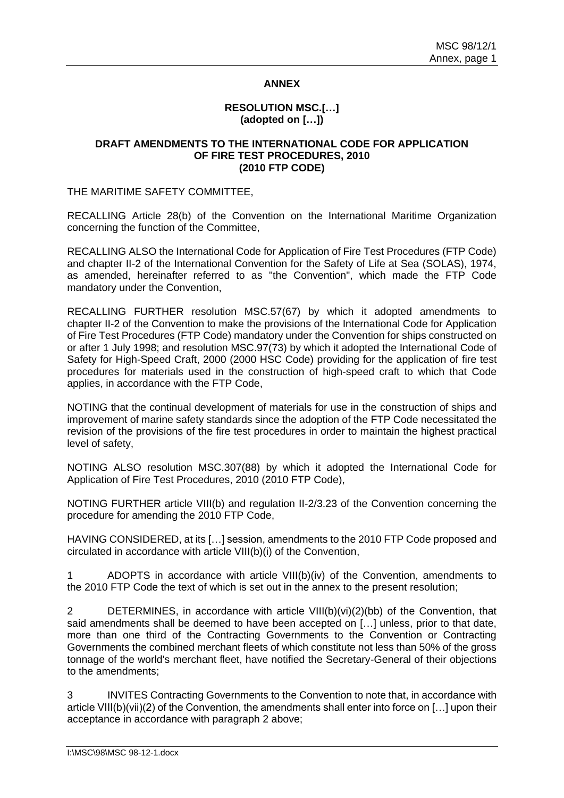## **ANNEX**

## **RESOLUTION MSC.[…] (adopted on […])**

#### **DRAFT AMENDMENTS TO THE INTERNATIONAL CODE FOR APPLICATION OF FIRE TEST PROCEDURES, 2010 (2010 FTP CODE)**

THE MARITIME SAFETY COMMITTEE,

RECALLING Article 28(b) of the Convention on the International Maritime Organization concerning the function of the Committee,

RECALLING ALSO the International Code for Application of Fire Test Procedures (FTP Code) and chapter II-2 of the International Convention for the Safety of Life at Sea (SOLAS), 1974, as amended, hereinafter referred to as "the Convention", which made the FTP Code mandatory under the Convention,

RECALLING FURTHER resolution MSC.57(67) by which it adopted amendments to chapter II-2 of the Convention to make the provisions of the International Code for Application of Fire Test Procedures (FTP Code) mandatory under the Convention for ships constructed on or after 1 July 1998; and resolution MSC.97(73) by which it adopted the International Code of Safety for High-Speed Craft, 2000 (2000 HSC Code) providing for the application of fire test procedures for materials used in the construction of high-speed craft to which that Code applies, in accordance with the FTP Code,

NOTING that the continual development of materials for use in the construction of ships and improvement of marine safety standards since the adoption of the FTP Code necessitated the revision of the provisions of the fire test procedures in order to maintain the highest practical level of safety,

NOTING ALSO resolution MSC.307(88) by which it adopted the International Code for Application of Fire Test Procedures, 2010 (2010 FTP Code),

NOTING FURTHER article VIII(b) and regulation II-2/3.23 of the Convention concerning the procedure for amending the 2010 FTP Code,

HAVING CONSIDERED, at its […] session, amendments to the 2010 FTP Code proposed and circulated in accordance with article VIII(b)(i) of the Convention,

1 ADOPTS in accordance with article VIII(b)(iv) of the Convention, amendments to the 2010 FTP Code the text of which is set out in the annex to the present resolution;

2 DETERMINES, in accordance with article VIII(b)(vi)(2)(bb) of the Convention, that said amendments shall be deemed to have been accepted on […] unless, prior to that date, more than one third of the Contracting Governments to the Convention or Contracting Governments the combined merchant fleets of which constitute not less than 50% of the gross tonnage of the world's merchant fleet, have notified the Secretary-General of their objections to the amendments;

3 INVITES Contracting Governments to the Convention to note that, in accordance with article VIII(b)(vii)(2) of the Convention, the amendments shall enter into force on […] upon their acceptance in accordance with paragraph 2 above;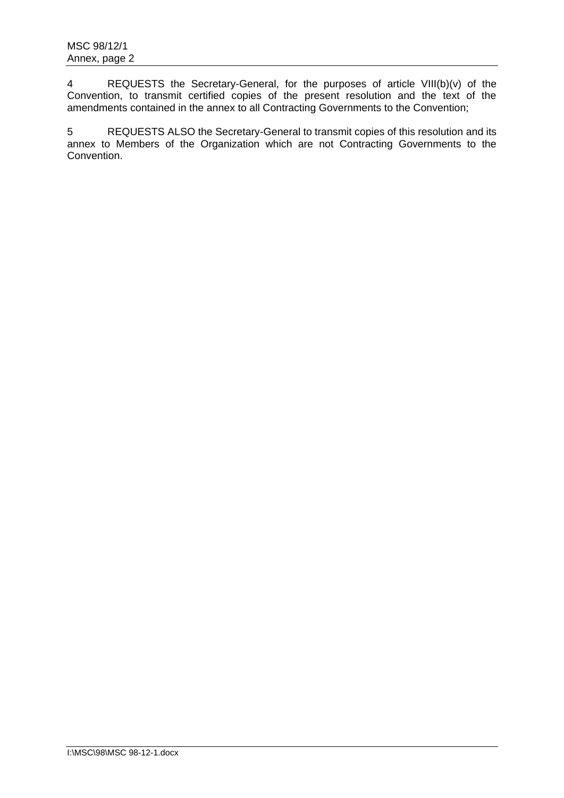4 REQUESTS the Secretary-General, for the purposes of article VIII(b)(v) of the Convention, to transmit certified copies of the present resolution and the text of the amendments contained in the annex to all Contracting Governments to the Convention;

5 REQUESTS ALSO the Secretary-General to transmit copies of this resolution and its annex to Members of the Organization which are not Contracting Governments to the Convention.